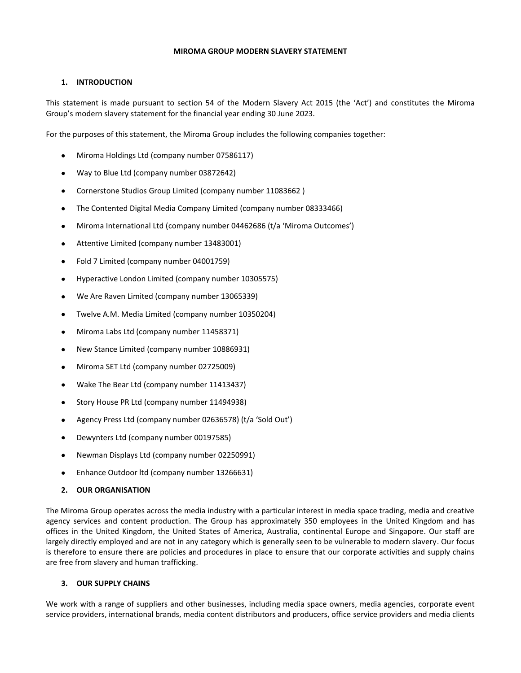### **MIROMA GROUP MODERN SLAVERY STATEMENT**

# **1. INTRODUCTION**

This statement is made pursuant to section 54 of the Modern Slavery Act 2015 (the 'Act') and constitutes the Miroma Group's modern slavery statement for the financial year ending 30 June 2023.

For the purposes of this statement, the Miroma Group includes the following companies together:

- Miroma Holdings Ltd (company number 07586117)
- Way to Blue Ltd (company number 03872642)
- Cornerstone Studios Group Limited (company number 11083662 )
- The Contented Digital Media Company Limited (company number 08333466)
- Miroma International Ltd (company number 04462686 (t/a 'Miroma Outcomes')
- Attentive Limited (company number 13483001)
- Fold 7 Limited (company number 04001759)
- Hyperactive London Limited (company number 10305575)
- We Are Raven Limited (company number 13065339)
- Twelve A.M. Media Limited (company number 10350204)
- Miroma Labs Ltd (company number 11458371)
- New Stance Limited (company number 10886931)
- Miroma SET Ltd (company number 02725009)
- Wake The Bear Ltd (company number 11413437)
- Story House PR Ltd (company number 11494938)
- Agency Press Ltd (company number 02636578) (t/a 'Sold Out')
- Dewynters Ltd (company number 00197585)
- Newman Displays Ltd (company number 02250991)
- Enhance Outdoor ltd (company number 13266631)
- **2. OUR ORGANISATION**

The Miroma Group operates across the media industry with a particular interest in media space trading, media and creative agency services and content production. The Group has approximately 350 employees in the United Kingdom and has offices in the United Kingdom, the United States of America, Australia, continental Europe and Singapore. Our staff are largely directly employed and are not in any category which is generally seen to be vulnerable to modern slavery. Our focus is therefore to ensure there are policies and procedures in place to ensure that our corporate activities and supply chains are free from slavery and human trafficking.

## **3. OUR SUPPLY CHAINS**

We work with a range of suppliers and other businesses, including media space owners, media agencies, corporate event service providers, international brands, media content distributors and producers, office service providers and media clients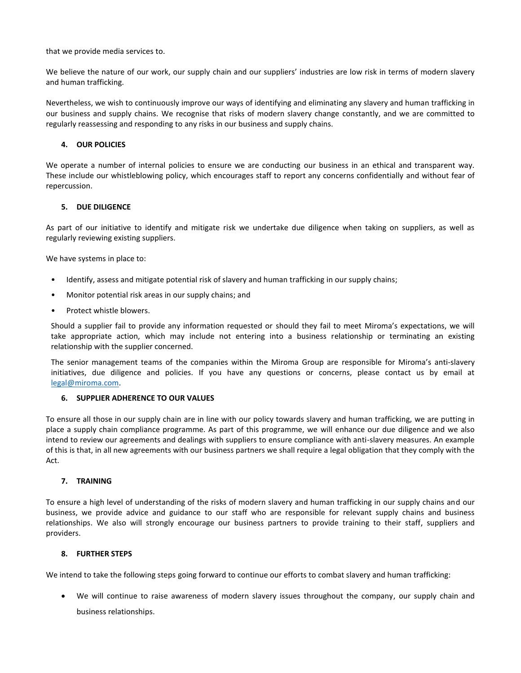that we provide media services to.

We believe the nature of our work, our supply chain and our suppliers' industries are low risk in terms of modern slavery and human trafficking.

Nevertheless, we wish to continuously improve our ways of identifying and eliminating any slavery and human trafficking in our business and supply chains. We recognise that risks of modern slavery change constantly, and we are committed to regularly reassessing and responding to any risks in our business and supply chains.

### **4. OUR POLICIES**

We operate a number of internal policies to ensure we are conducting our business in an ethical and transparent way. These include our whistleblowing policy, which encourages staff to report any concerns confidentially and without fear of repercussion.

### **5. DUE DILIGENCE**

As part of our initiative to identify and mitigate risk we undertake due diligence when taking on suppliers, as well as regularly reviewing existing suppliers.

We have systems in place to:

- Identify, assess and mitigate potential risk of slavery and human trafficking in our supply chains;
- Monitor potential risk areas in our supply chains; and
- Protect whistle blowers.

Should a supplier fail to provide any information requested or should they fail to meet Miroma's expectations, we will take appropriate action, which may include not entering into a business relationship or terminating an existing relationship with the supplier concerned.

The senior management teams of the companies within the Miroma Group are responsible for Miroma's anti-slavery initiatives, due diligence and policies. If you have any questions or concerns, please contact us by email at [legal@miroma.com.](mailto:legal@miroma.com)

## **6. SUPPLIER ADHERENCE TO OUR VALUES**

To ensure all those in our supply chain are in line with our policy towards slavery and human trafficking, we are putting in place a supply chain compliance programme. As part of this programme, we will enhance our due diligence and we also intend to review our agreements and dealings with suppliers to ensure compliance with anti-slavery measures. An example of this is that, in all new agreements with our business partners we shall require a legal obligation that they comply with the Act.

#### **7. TRAINING**

To ensure a high level of understanding of the risks of modern slavery and human trafficking in our supply chains and our business, we provide advice and guidance to our staff who are responsible for relevant supply chains and business relationships. We also will strongly encourage our business partners to provide training to their staff, suppliers and providers.

#### **8. FURTHER STEPS**

We intend to take the following steps going forward to continue our efforts to combat slavery and human trafficking:

• We will continue to raise awareness of modern slavery issues throughout the company, our supply chain and business relationships.